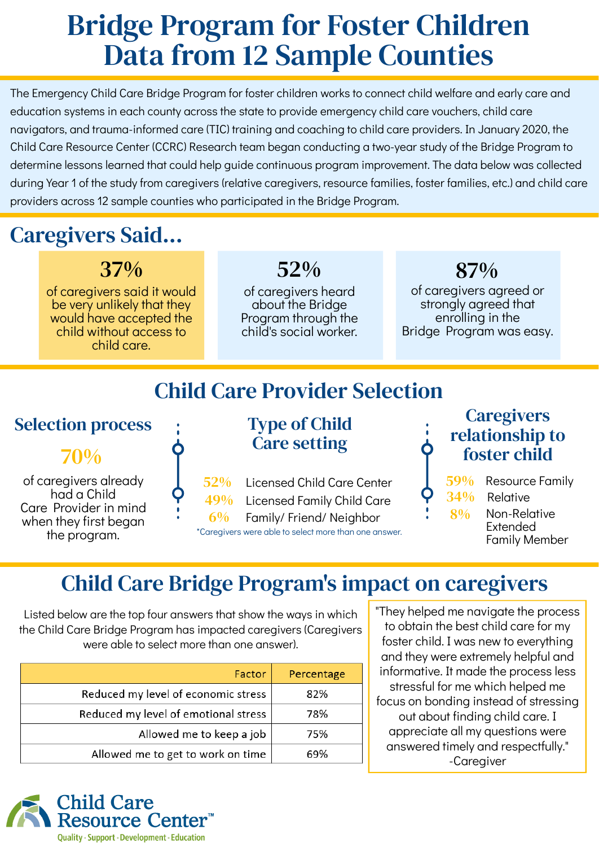# Bridge Program for Foster Children Data from 12 Sample Counties

### Child Care Bridge Program's impact on caregivers

Listed below are the top four answers that show the ways in which the Child Care Bridge Program has impacted caregivers (Caregivers were able to select more than one answer).

| Factor                               | Percentage |
|--------------------------------------|------------|
| Reduced my level of economic stress  | 82%        |
| Reduced my level of emotional stress | 78%        |
| Allowed me to keep a job             | 75%        |
| Allowed me to get to work on time    | 69%        |

The Emergency Child Care Bridge Program for foster children works to connect child welfare and early care and education systems in each county across the state to provide emergency child care vouchers, child care navigators, and trauma-informed care (TIC) training and coaching to child care providers. In January 2020, the Child Care Resource Center (CCRC) Research team began conducting a two-year study of the Bridge Program to determine lessons learned that could help guide continuous program improvement. The data below was collected during Year 1 of the study from caregivers (relative caregivers, resource families, foster families, etc.) and child care providers across 12 sample counties who participated in the Bridge Program.

> **Caregivers** relationship to

34% Relative 8% 59% Resource Family

of caregivers agreed or strongly agreed that enrolling in the Bridge Program was easy.

#### 87%

of caregivers said it would be very unlikely that they would have accepted the child without access to child care.

37%

of caregivers heard about the Bridge Program through the child's social worker.

52%

## Caregivers Said...

"They helped me navigate the process to obtain the best child care for my foster child. I was new to everything and they were extremely helpful and informative. It made the process less stressful for me which helped me focus on bonding instead of stressing out about finding child care. I appreciate all my questions were answered timely and respectfully." -Caregiver



**Quality · Support · Development · Education** 

### Child Care Provider Selection

\*Caregivers were able to select more than one answer.

Type of Child Care setting

- Licensed Child Care Center 52%
- Licensed Family Child Care 49%
- 6% Family/ Friend/ Neighbor

of caregivers already had a Child Care Provider in mind when they first began the program.



Selection process

#### foster child

Non-Relative Extended Family Member